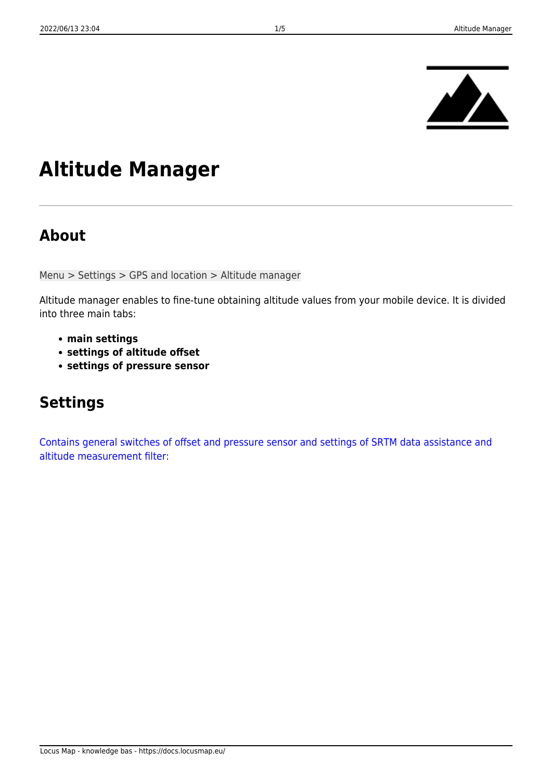

# **Altitude Manager**

### **About**

Menu > Settings > GPS and location > Altitude manager

Altitude manager enables to fine-tune obtaining altitude values from your mobile device. It is divided into three main tabs:

- **main settings**
- **settings of altitude offset**
- **settings of pressure sensor**

# **Settings**

[Contains general switches of offset and pressure sensor and settings of SRTM data assistance and](https://docs.locusmap.eu/lib/exe/detail.php?id=manual%3Auser_guide%3Atools%3Aaltitude&media=manual:user_guide:tools:altmanager.png) [altitude measurement filter:](https://docs.locusmap.eu/lib/exe/detail.php?id=manual%3Auser_guide%3Atools%3Aaltitude&media=manual:user_guide:tools:altmanager.png)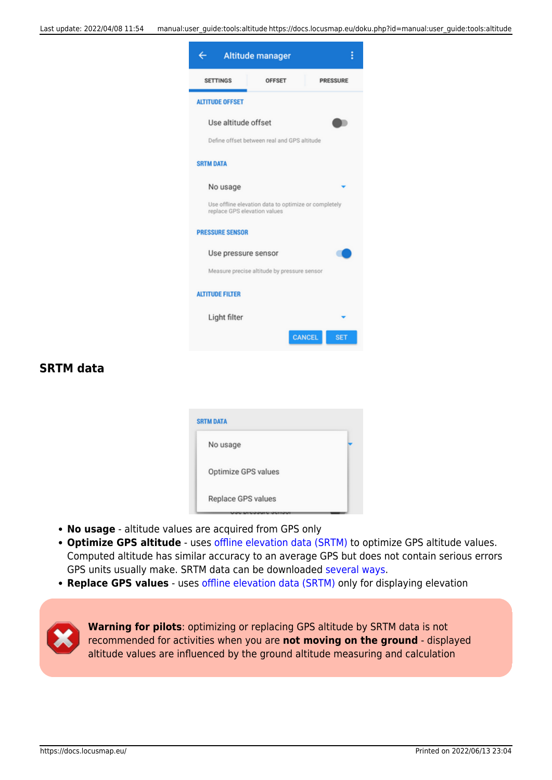

#### **SRTM data**

| <b>SRTM DATA</b>    |  |
|---------------------|--|
| No usage            |  |
| Optimize GPS values |  |
| Replace GPS values  |  |

- **No usage** altitude values are acquired from GPS only
- **Optimize GPS altitude** uses [offline elevation data \(SRTM\)](http://en.wikipedia.org/wiki/Shuttle_Radar_Topography_Mission) to optimize GPS altitude values. Computed altitude has similar accuracy to an average GPS but does not contain serious errors GPS units usually make. SRTM data can be downloaded [several ways.](https://docs.locusmap.eu/doku.php?id=manual:faq:how_to_add_map_shading)
- **Replace GPS values** uses [offline elevation data \(SRTM\)](http://en.wikipedia.org/wiki/Shuttle_Radar_Topography_Mission) only for displaying elevation



**Warning for pilots**: optimizing or replacing GPS altitude by SRTM data is not recommended for activities when you are **not moving on the ground** - displayed altitude values are influenced by the ground altitude measuring and calculation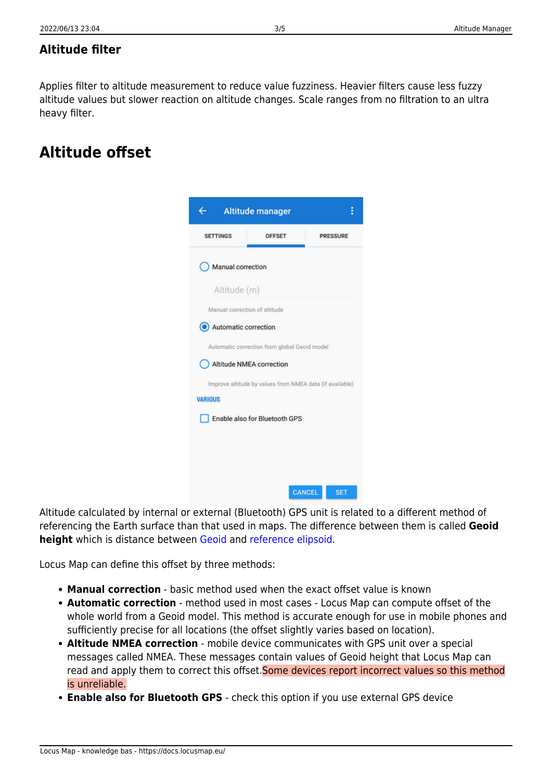### **Altitude filter**

Applies filter to altitude measurement to reduce value fuzziness. Heavier filters cause less fuzzy altitude values but slower reaction on altitude changes. Scale ranges from no filtration to an ultra heavy filter.

## **Altitude offset**

|                                                                            | <b>Altitude manager</b> | i                           |  |  |
|----------------------------------------------------------------------------|-------------------------|-----------------------------|--|--|
| <b>SETTINGS</b>                                                            | <b>OFFSET</b>           | <b>PRESSURE</b>             |  |  |
| Manual correction                                                          |                         |                             |  |  |
| Altitude (m)                                                               |                         |                             |  |  |
| Manual correction of altitude                                              |                         |                             |  |  |
| Automatic correction                                                       |                         |                             |  |  |
| Automatic correction from global Geoid model                               |                         |                             |  |  |
| Altitude NMEA correction                                                   |                         |                             |  |  |
| Improve altitude by values from NMEA data (if available)<br><b>VARIOUS</b> |                         |                             |  |  |
| Enable also for Bluetooth GPS                                              |                         |                             |  |  |
|                                                                            |                         |                             |  |  |
|                                                                            |                         |                             |  |  |
|                                                                            |                         | <b>CANCEL</b><br><b>SET</b> |  |  |

Altitude calculated by internal or external (Bluetooth) GPS unit is related to a different method of referencing the Earth surface than that used in maps. The difference between them is called **Geoid height** which is distance between [Geoid](http://en.wikipedia.org/wiki/Geoid) and [reference elipsoid](http://en.wikipedia.org/wiki/Reference_ellipsoid).

Locus Map can define this offset by three methods:

- **Manual correction** basic method used when the exact offset value is known
- **Automatic correction** method used in most cases Locus Map can compute offset of the whole world from a Geoid model. This method is accurate enough for use in mobile phones and sufficiently precise for all locations (the offset slightly varies based on location).
- **Altitude NMEA correction** mobile device communicates with GPS unit over a special messages called NMEA. These messages contain values of Geoid height that Locus Map can read and apply them to correct this offset. Some devices report incorrect values so this method is unreliable.
- **Enable also for Bluetooth GPS** check this option if you use external GPS device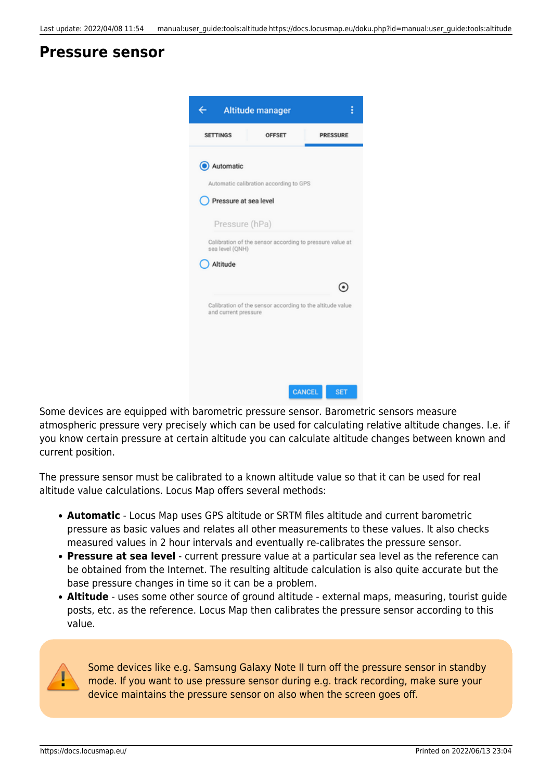### **Pressure sensor**

|                                                                             | <b>Altitude manager</b>                                   | i                           |  |  |
|-----------------------------------------------------------------------------|-----------------------------------------------------------|-----------------------------|--|--|
| <b>SETTINGS</b>                                                             | <b>OFFSET</b>                                             | <b>PRESSURE</b>             |  |  |
| Automatic                                                                   |                                                           |                             |  |  |
| Automatic calibration according to GPS<br>Pressure at sea level             |                                                           |                             |  |  |
| Pressure (hPa)                                                              |                                                           |                             |  |  |
| Calibration of the sensor according to pressure value at<br>sea level (QNH) |                                                           |                             |  |  |
| Altitude                                                                    |                                                           |                             |  |  |
|                                                                             |                                                           |                             |  |  |
| and current pressure                                                        | Calibration of the sensor according to the altitude value |                             |  |  |
|                                                                             |                                                           | <b>CANCEL</b><br><b>SET</b> |  |  |

Some devices are equipped with barometric pressure sensor. Barometric sensors measure atmospheric pressure very precisely which can be used for calculating relative altitude changes. I.e. if you know certain pressure at certain altitude you can calculate altitude changes between known and current position.

The pressure sensor must be calibrated to a known altitude value so that it can be used for real altitude value calculations. Locus Map offers several methods:

- **Automatic** Locus Map uses GPS altitude or SRTM files altitude and current barometric pressure as basic values and relates all other measurements to these values. It also checks measured values in 2 hour intervals and eventually re-calibrates the pressure sensor.
- **Pressure at sea level** current pressure value at a particular sea level as the reference can be obtained from the Internet. The resulting altitude calculation is also quite accurate but the base pressure changes in time so it can be a problem.
- **Altitude** uses some other source of ground altitude external maps, measuring, tourist guide posts, etc. as the reference. Locus Map then calibrates the pressure sensor according to this value.



Some devices like e.g. Samsung Galaxy Note II turn off the pressure sensor in standby mode. If you want to use pressure sensor during e.g. track recording, make sure your device maintains the pressure sensor on also when the screen goes off.